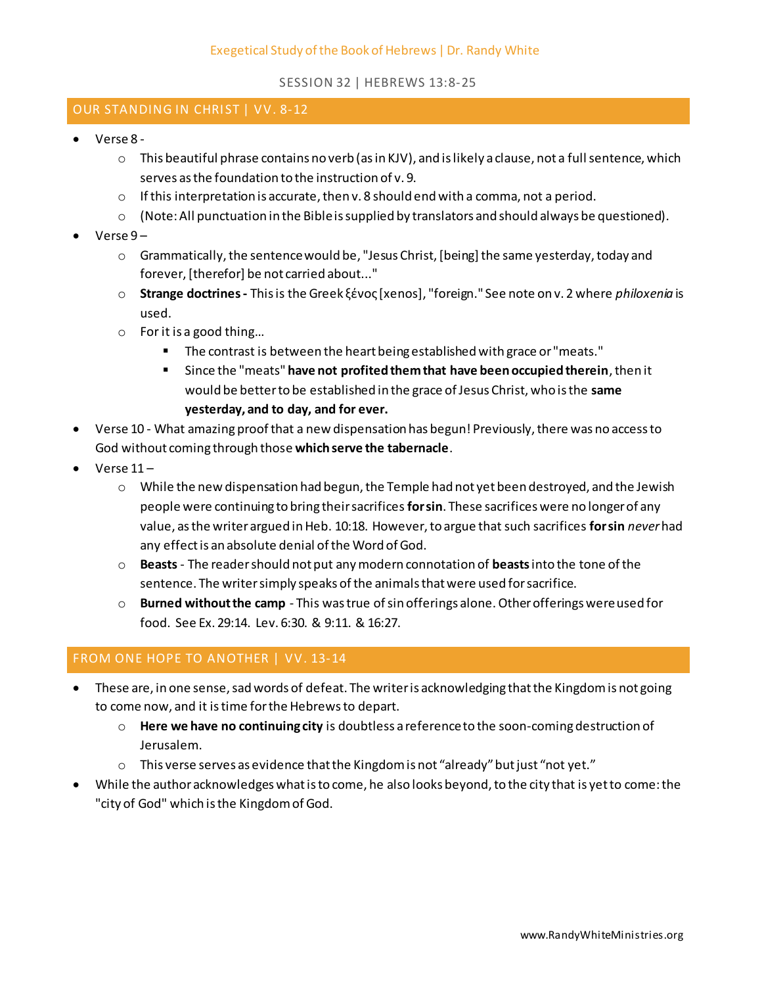## SESSION 32 | HEBREWS 13:8-25

## OUR STANDING IN CHRIST | VV. 8-12

- Verse 8
	- $\circ$  This beautiful phrase contains no verb (as in KJV), and is likely a clause, not a full sentence, which serves as the foundation to the instruction of v. 9.
	- $\circ$  If this interpretation is accurate, then v. 8 should end with a comma, not a period.
	- $\circ$  (Note: All punctuation in the Bible is supplied by translators and should always be questioned).
- Verse 9
	- $\circ$  Grammatically, the sentence would be, "Jesus Christ, [being] the same yesterday, today and forever, [therefor] be not carried about..."
	- o **Strange doctrines -** This is the Greek ξένος [xenos], "foreign." See note on v. 2 where *philoxenia* is used.
	- o For it is a good thing…
		- The contrast is between the heart being established with grace or "meats."
		- Since the "meats" **have not profited them that have been occupied therein**, then it would be better to be established in the grace of Jesus Christ, who is the **same yesterday, and to day, and for ever.**
- Verse 10 What amazing proof that a new dispensation has begun! Previously, there was no access to God without coming through those **which serve the tabernacle**.
- $\bullet$  Verse  $11 -$ 
	- $\circ$  While the new dispensation had begun, the Temple had not yet been destroyed, and the Jewish people were continuing to bring their sacrifices **for sin**. These sacrifices were no longer of any value, as the writer argued in Heb. 10:18. However, to argue that such sacrifices **for sin** *never*had any effect is an absolute denial of the Word of God.
	- o **Beasts** The reader should not put any modern connotation of **beasts**into the tone of the sentence. The writer simply speaks of the animals that were used for sacrifice.
	- o **Burned without the camp**  This was true of sin offerings alone. Other offerings were used for food. See Ex. 29:14. Lev. 6:30. & 9:11. & 16:27.

# FROM ONE HOPE TO ANOTHER | VV. 13-14

- These are, in one sense, sad words of defeat. The writer is acknowledging that the Kingdom is not going to come now, and it is time for the Hebrews to depart.
	- o **Here we have no continuing city** is doubtless a reference to the soon-coming destruction of Jerusalem.
	- $\circ$  This verse serves as evidence that the Kingdom is not "already" but just "not yet."
- While the author acknowledges what is to come, he also looks beyond, to the city that is yet to come: the "city of God" which is the Kingdom of God.